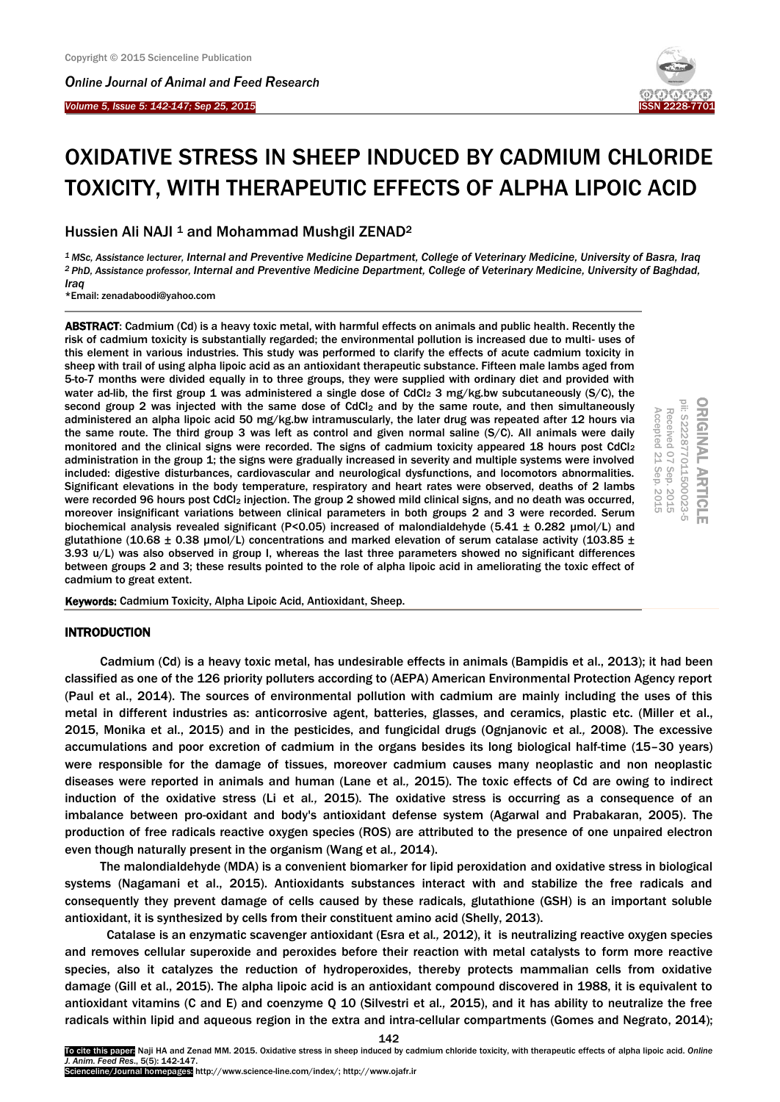*Online Journal of A[nimal and](http://www.ojafr.ir/main/) Feed Research*

*Volume 5, Issue 5: 142-147; Sep 25, 2015* I



# OXIDATIVE STRESS IN SHEEP INDUCED BY CADMIUM CHLORIDE TOXICITY, WITH THERAPEUTIC EFFECTS OF ALPHA LIPOIC ACID

Hussien Ali NAJI <sup>1</sup> and Mohammad Mushgil ZENAD<sup>2</sup>

*<sup>1</sup>MSc, Assistance lecturer, Internal and Preventive Medicine Department, College of Veterinary Medicine, University of Basra, Iraq <sup>2</sup>PhD, Assistance professor, Internal and Preventive Medicine Department, College of Veterinary Medicine, University of Baghdad, Iraq*

\*Email: zenadaboodi@yahoo.com

ABSTRACT: Cadmium (Cd) is a heavy toxic metal, with harmful effects on animals and public health. Recently the risk of cadmium toxicity is substantially regarded; the environmental pollution is increased due to multi- uses of this element in various industries. This study was performed to clarify the effects of acute cadmium toxicity in sheep with trail of using alpha lipoic acid as an antioxidant therapeutic substance. Fifteen male lambs aged from 5-to-7 months were divided equally in to three groups, they were supplied with ordinary diet and provided with water ad-lib, the first group 1 was administered a single dose of CdCl<sub>2</sub> 3 mg/kg.bw subcutaneously (S/C), the second group 2 was injected with the same dose of CdCl<sub>2</sub> and by the same route, and then simultaneously administered an alpha lipoic acid 50 mg/kg.bw intramuscularly, the later drug was repeated after 12 hours via the same route. The third group 3 was left as control and given normal saline (S/C). All animals were daily monitored and the clinical signs were recorded. The signs of cadmium toxicity appeared 18 hours post CdCl<sub>2</sub> administration in the group 1; the signs were gradually increased in severity and multiple systems were involved included: digestive disturbances, cardiovascular and neurological dysfunctions, and locomotors abnormalities. Significant elevations in the body temperature, respiratory and heart rates were observed, deaths of 2 lambs were recorded 96 hours post CdCl<sub>2</sub> injection. The group 2 showed mild clinical signs, and no death was occurred, moreover insignificant variations between clinical parameters in both groups 2 and 3 were recorded. Serum biochemical analysis revealed significant (P<0.05) increased of malondialdehyde (5.41 ± 0.282 µmol/L) and glutathione (10.68  $\pm$  0.38 µmol/L) concentrations and marked elevation of serum catalase activity (103.85  $\pm$ 3.93 u/L) was also observed in group I, whereas the last three parameters showed no significant differences between groups 2 and 3; these results pointed to the role of alpha lipoic acid in ameliorating the toxic effect of cadmium to great extent.



Keywords: Cadmium Toxicity, Alpha Lipoic Acid, Antioxidant, Sheep.

## INTRODUCTION

Cadmium (Cd) is a heavy toxic metal, has undesirable effects in animals (Bampidis et al., 2013); it had been classified as one of the 126 priority polluters according to (AEPA) American Environmental Protection Agency report (Paul et al., 2014). The sources of environmental pollution with cadmium are mainly including the uses of this metal in different industries as: anticorrosive agent, batteries, glasses, and ceramics, plastic etc. (Miller et al., 2015, Monika et al., 2015) and in the pesticides, and fungicidal drugs (Ognjanovic et al*.,* 2008). The excessive accumulations and poor excretion of cadmium in the organs besides its long biological half-time (15–30 years) were responsible for the damage of tissues, moreover cadmium causes many neoplastic and non neoplastic diseases were reported in animals and human (Lane et al*.,* 2015). The toxic effects of Cd are owing to indirect induction of the oxidative stress (Li et al*.,* 2015). The oxidative stress is occurring as a consequence of an imbalance between pro-oxidant and body's antioxidant defense system (Agarwal and Prabakaran, 2005). The production of free radicals reactive oxygen species (ROS) are attributed to the presence of one unpaired electron even though naturally present in the organism (Wang et al*.,* 2014).

The malondialdehyde (MDA) is a convenient biomarker for lipid peroxidation and oxidative stress in biological systems (Nagamani et al., 2015). Antioxidants substances interact with and stabilize the free radicals and consequently they prevent damage of cells caused by these radicals, glutathione (GSH) is an important soluble antioxidant, it is synthesized by cells from their constituent amino acid (Shelly, 2013).

 Catalase is an enzymatic scavenger antioxidant (Esra et al*.,* 2012), it is neutralizing reactive oxygen species and removes cellular superoxide and peroxides before their reaction with metal catalysts to form more reactive species, also it catalyzes the reduction of hydroperoxides, thereby protects mammalian cells from oxidative damage (Gill et al., 2015). The alpha lipoic acid is an antioxidant compound discovered in 1988, it is equivalent to antioxidant vitamins (C and E) and coenzyme Q 10 (Silvestri et al*.,* 2015), and it has ability to neutralize the free radicals within lipid and aqueous region in the extra and intra-cellular compartments (Gomes and Negrato, 2014);

142

To cite this paper: Naji HA and Zenad MM. 2015. Oxidative stress in sheep induced by cadmium chloride toxicity, with therapeutic effects of alpha lipoic acid. *Online J. Anim. Feed Res*., 5(5): 142-147.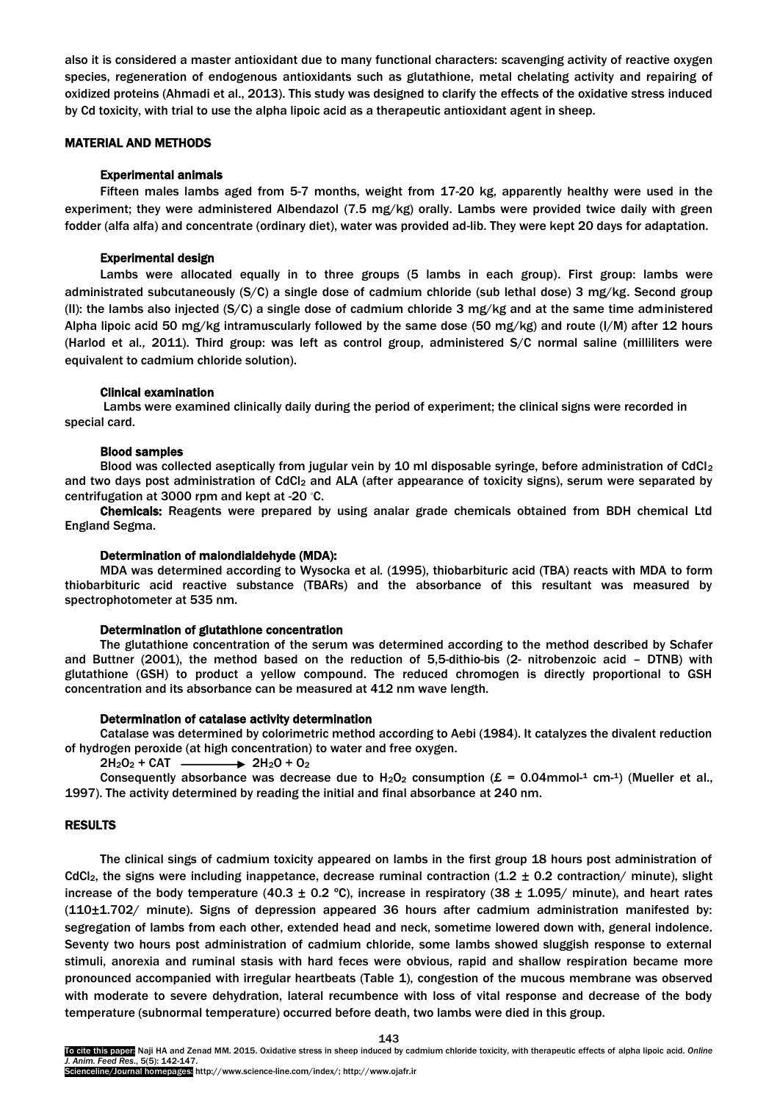also it is considered a master antioxidant due to many functional characters: scavenging activity of reactive oxygen species, regeneration of endogenous antioxidants such as glutathione, metal chelating activity and repairing of oxidized proteins (Ahmadi et al., 2013). This study was designed to clarify the effects of the oxidative stress induced by Cd toxicity, with trial to use the alpha lipoic acid as a therapeutic antioxidant agent in sheep.

#### MATERIAL AND METHODS

## Experimental animals

Fifteen males lambs aged from 5-7 months, weight from 17-20 kg, apparently healthy were used in the experiment; they were administered Albendazol (7.5 mg/kg) orally. Lambs were provided twice daily with green fodder (alfa alfa) and concentrate (ordinary diet), water was provided ad-lib. They were kept 20 days for adaptation.

## Experimental design

Lambs were allocated equally in to three groups (5 lambs in each group). First group: lambs were administrated subcutaneously (S/C) a single dose of cadmium chloride (sub lethal dose) 3 mg/kg. Second group (II): the lambs also injected (S/C) a single dose of cadmium chloride 3 mg/kg and at the same time administered Alpha lipoic acid 50 mg/kg intramuscularly followed by the same dose (50 mg/kg) and route (I/M) after 12 hours (Harlod et al*.,* 2011). Third group: was left as control group, administered S/C normal saline (milliliters were equivalent to cadmium chloride solution).

## Clinical examination

Lambs were examined clinically daily during the period of experiment; the clinical signs were recorded in special card.

#### Blood samples

Blood was collected aseptically from jugular vein by 10 ml disposable syringe, before administration of CdCl2 and two days post administration of CdCl<sub>2</sub> and ALA (after appearance of toxicity signs), serum were separated by centrifugation at 3000 rpm and kept at -20 ◦C.

Chemicals: Reagents were prepared by using analar grade chemicals obtained from BDH chemical Ltd England Segma.

### Determination of malondialdehyde (MDA):

MDA was determined according to Wysocka et al*.* (1995), thiobarbituric acid (TBA) reacts with MDA to form thiobarbituric acid reactive substance (TBARs) and the absorbance of this resultant was measured by spectrophotometer at 535 nm.

#### Determination of glutathione concentration

The glutathione concentration of the serum was determined according to the method described by Schafer and Buttner (2001), the method based on the reduction of 5,5-dithio-bis (2- nitrobenzoic acid – DTNB) with glutathione (GSH) to product a yellow compound. The reduced chromogen is directly proportional to GSH concentration and its absorbance can be measured at 412 nm wave length.

## Determination of catalase activity determination

Catalase was determined by colorimetric method according to Aebi (1984). It catalyzes the divalent reduction of hydrogen peroxide (at high concentration) to water and free oxygen.

 $2H_2O_2$  + CAT  $\longrightarrow$  2H<sub>2</sub>O + O<sub>2</sub>

Consequently absorbance was decrease due to  $H_2O_2$  consumption ( $\mathcal{E} = 0.04$ mmol- $^1$  cm- $^1$ ) (Mueller et al., 1997). The activity determined by reading the initial and final absorbance at 240 nm.

## RESULTS

The clinical sings of cadmium toxicity appeared on lambs in the first group 18 hours post administration of CdCl<sub>2</sub>, the signs were including inappetance, decrease ruminal contraction  $(1.2 \pm 0.2 \text{ contraction}/\text{minute})$ , slight increase of the body temperature (40.3  $\pm$  0.2 °C), increase in respiratory (38  $\pm$  1.095/ minute), and heart rates (110±1.702/ minute). Signs of depression appeared 36 hours after cadmium administration manifested by: segregation of lambs from each other, extended head and neck, sometime lowered down with, general indolence. Seventy two hours post administration of cadmium chloride, some lambs showed sluggish response to external stimuli, anorexia and ruminal stasis with hard feces were obvious, rapid and shallow respiration became more pronounced accompanied with irregular heartbeats (Table 1), congestion of the mucous membrane was observed with moderate to severe dehydration, lateral recumbence with loss of vital response and decrease of the body temperature (subnormal temperature) occurred before death, two lambs were died in this group.

143

To cite this paper: Naji HA and Zenad MM. 2015. Oxidative stress in sheep induced by cadmium chloride toxicity, with therapeutic effects of alpha lipoic acid. *Online J. Anim. Feed Res*., 5(5): 142-147.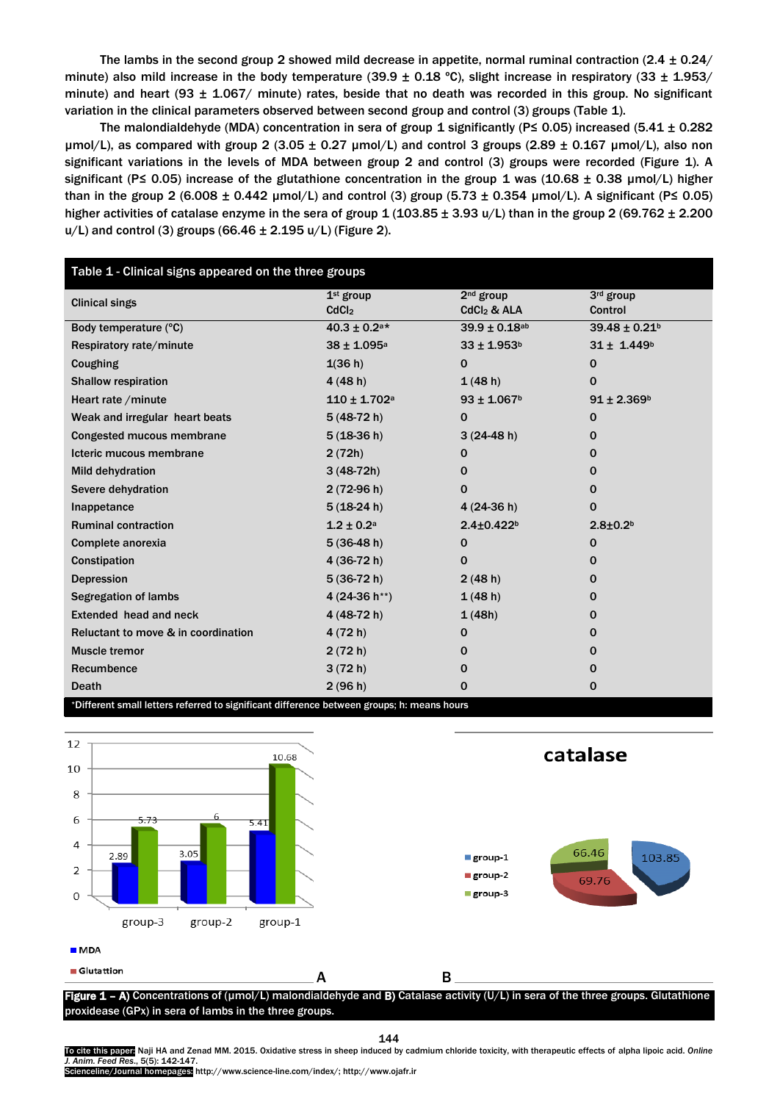The lambs in the second group 2 showed mild decrease in appetite, normal ruminal contraction (2.4 ± 0.24/ minute) also mild increase in the body temperature (39.9  $\pm$  0.18 °C), slight increase in respiratory (33  $\pm$  1.953/ minute) and heart (93  $\pm$  1.067/ minute) rates, beside that no death was recorded in this group. No significant variation in the clinical parameters observed between second group and control (3) groups (Table 1).

The malondialdehyde (MDA) concentration in sera of group 1 significantly (P le 0.05) increased (5.41  $\pm$  0.282  $\mu$ mol/L), as compared with group 2 (3.05  $\pm$  0.27  $\mu$ mol/L) and control 3 groups (2.89  $\pm$  0.167  $\mu$ mol/L), also non significant variations in the levels of MDA between group 2 and control (3) groups were recorded (Figure 1). A significant (P≤ 0.05) increase of the glutathione concentration in the group 1 was (10.68  $\pm$  0.38 µmol/L) higher than in the group 2 (6.008  $\pm$  0.442 µmol/L) and control (3) group (5.73  $\pm$  0.354 µmol/L). A significant (P ≤ 0.05) higher activities of catalase enzyme in the sera of group  $1 (103.85 \pm 3.93 \text{ u/L})$  than in the group 2 (69.762  $\pm$  2.200  $u/L$ ) and control (3) groups (66.46  $\pm$  2.195  $u/L$ ) (Figure 2).

| Table 1 - Clinical signs appeared on the three groups                                      |                             |                              |                               |
|--------------------------------------------------------------------------------------------|-----------------------------|------------------------------|-------------------------------|
| <b>Clinical sings</b>                                                                      | 1 <sup>st</sup> group       | $2nd$ group                  | 3rd group                     |
|                                                                                            | CdCl <sub>2</sub>           | $CdCl2$ & ALA                | Control                       |
| Body temperature (°C)                                                                      | $40.3 \pm 0.2$ a*           | $39.9 \pm 0.18$ ab           | $39.48 \pm 0.21$ <sup>b</sup> |
| Respiratory rate/minute                                                                    | $38 \pm 1.095$ <sup>a</sup> | $33 \pm 1.953$ <sup>b</sup>  | $31 \pm 1.449$ <sup>b</sup>   |
| Coughing                                                                                   | 1(36 h)                     | $\mathbf 0$                  | 0                             |
| <b>Shallow respiration</b>                                                                 | 4(48h)                      | 1(48h)                       | 0                             |
| Heart rate / minute                                                                        | $110 \pm 1.702$ a           | $93 \pm 1.067$ <sup>b</sup>  | $91 \pm 2.369^{\circ}$        |
| Weak and irregular heart beats                                                             | $5(48-72 h)$                | $\mathbf 0$                  | 0                             |
| Congested mucous membrane                                                                  | $5(18-36)$                  | $3(24-48h)$                  | 0                             |
| Icteric mucous membrane                                                                    | 2(72h)                      | 0                            | 0                             |
| <b>Mild dehydration</b>                                                                    | $3(48-72h)$                 | 0                            | 0                             |
| Severe dehydration                                                                         | $2(72-96 h)$                | 0                            | 0                             |
| Inappetance                                                                                | $5(18-24 h)$                | $4(24-36 h)$                 | $\mathbf{0}$                  |
| <b>Ruminal contraction</b>                                                                 | $1.2 \pm 0.2$ <sup>a</sup>  | $2.4 \pm 0.422$ <sup>b</sup> | $2.8 + 0.2b$                  |
| Complete anorexia                                                                          | $5(36-48h)$                 | $\mathbf 0$                  | $\mathbf 0$                   |
| Constipation                                                                               | 4 (36-72 h)                 | 0                            | $\mathbf{0}$                  |
| <b>Depression</b>                                                                          | $5(36-72 h)$                | 2(48 h)                      | $\mathbf{0}$                  |
| <b>Segregation of lambs</b>                                                                | 4 (24-36 h <sup>**</sup> )  | 1(48h)                       | $\mathbf{0}$                  |
| Extended head and neck                                                                     | 4 (48-72 h)                 | 1(48h)                       | $\mathbf{0}$                  |
| Reluctant to move & in coordination                                                        | 4(72 h)                     | 0                            | $\mathbf{0}$                  |
| <b>Muscle tremor</b>                                                                       | 2(72 h)                     | 0                            | $\mathbf{0}$                  |
| Recumbence                                                                                 | 3(72 h)                     | 0                            | 0                             |
| <b>Death</b>                                                                               | 2(96 h)                     | 0                            | 0                             |
| *Different small letters referred to significant difference between groups; h: means hours |                             |                              |                               |



144

To cite this paper: Naji HA and Zenad MM. 2015. Oxidative stress in sheep induced by cadmium chloride toxicity, with therapeutic effects of alpha lipoic acid. *Online J. Anim. Feed Res*., 5(5): 142-147.

Scienceline/Journal homepages: http://www.science-line.com/index/; http://www.ojafr.ir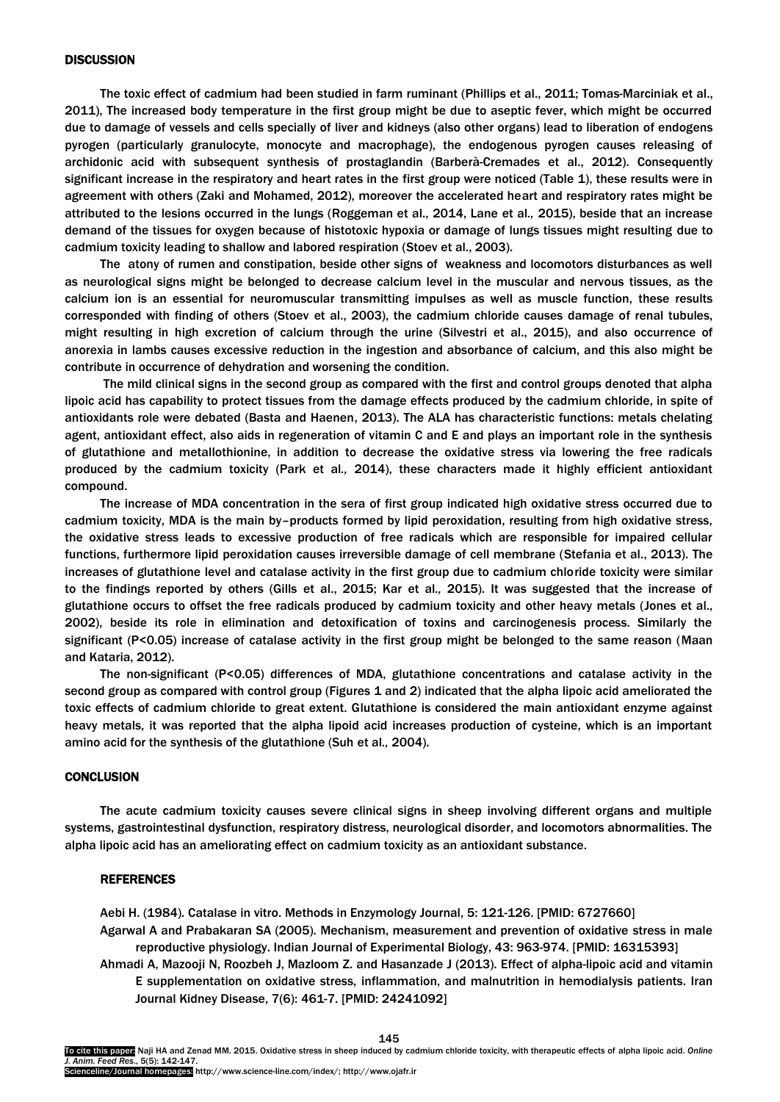#### **DISCUSSION**

The toxic effect of cadmium had been studied in farm ruminant (Phillips et al., 2011; Tomas-Marciniak et al., 2011), The increased body temperature in the first group might be due to aseptic fever, which might be occurred due to damage of vessels and cells specially of liver and kidneys (also other organs) lead to liberation of endogens pyrogen (particularly granulocyte, monocyte and macrophage), the endogenous pyrogen causes releasing of archidonic acid with subsequent synthesis of prostaglandin (Barberà-Cremades et al., 2012). Consequently significant increase in the respiratory and heart rates in the first group were noticed (Table 1), these results were in agreement with others (Zaki and Mohamed, 2012), moreover the accelerated heart and respiratory rates might be attributed to the lesions occurred in the lungs (Roggeman et al., 2014, Lane et al*.,* 2015), beside that an increase demand of the tissues for oxygen because of histotoxic hypoxia or damage of lungs tissues might resulting due to cadmium toxicity leading to shallow and labored respiration (Stoev et al., 2003).

The atony of rumen and constipation, beside other signs of weakness and locomotors disturbances as well as neurological signs might be belonged to decrease calcium level in the muscular and nervous tissues, as the calcium ion is an essential for neuromuscular transmitting impulses as well as muscle function, these results corresponded with finding of others (Stoev et al., 2003), the cadmium chloride causes damage of renal tubules, might resulting in high excretion of calcium through the urine (Silvestri et al., 2015), and also occurrence of anorexia in lambs causes excessive reduction in the ingestion and absorbance of calcium, and this also might be contribute in occurrence of dehydration and worsening the condition.

The mild clinical signs in the second group as compared with the first and control groups denoted that alpha lipoic acid has capability to protect tissues from the damage effects produced by the cadmium chloride, in spite of antioxidants role were debated (Basta and Haenen, 2013). The ALA has characteristic functions: metals chelating agent, antioxidant effect, also aids in regeneration of vitamin C and E and plays an important role in the synthesis of glutathione and metallothionine, in addition to decrease the oxidative stress via lowering the free radicals produced by the cadmium toxicity (Park et al*.,* 2014), these characters made it highly efficient antioxidant compound.

The increase of MDA concentration in the sera of first group indicated high oxidative stress occurred due to cadmium toxicity, MDA is the main by–products formed by lipid peroxidation, resulting from high oxidative stress, the oxidative stress leads to excessive production of free radicals which are responsible for impaired cellular functions, furthermore lipid peroxidation causes irreversible damage of cell membrane (Stefania et al., 2013). The increases of glutathione level and catalase activity in the first group due to cadmium chloride toxicity were similar to the findings reported by others (Gills et al., 2015; Kar et al*.,* 2015). It was suggested that the increase of glutathione occurs to offset the free radicals produced by cadmium toxicity and other heavy metals (Jones et al., 2002), beside its role in elimination and detoxification of toxins and carcinogenesis process. Similarly the significant (P<0.05) increase of catalase activity in the first group might be belonged to the same reason (Maan and Kataria, 2012).

The non-significant (P<0.05) differences of MDA, glutathione concentrations and catalase activity in the second group as compared with control group (Figures 1 and 2) indicated that the alpha lipoic acid ameliorated the toxic effects of cadmium chloride to great extent. Glutathione is considered the main antioxidant enzyme against heavy metals, it was reported that the alpha lipoid acid increases production of cysteine, which is an important amino acid for the synthesis of the glutathione (Suh et al*.,* 2004).

## **CONCLUSION**

The acute cadmium toxicity causes severe clinical signs in sheep involving different organs and multiple systems, gastrointestinal dysfunction, respiratory distress, neurological disorder, and locomotors abnormalities. The alpha lipoic acid has an ameliorating effect on cadmium toxicity as an antioxidant substance.

### **REFERENCES**

Aebi H. (1984). Catalase in vitro. Methods in Enzymology Journal, 5: 121-126. [PMID: 6727660] Agarwal A and Prabakaran SA (2005). Mechanism, measurement and prevention of oxidative stress in male reproductive physiology. Indian Journal of Experimental Biology, 43: 963-974. [PMID: 16315393] Ahmadi A, Mazooji N, Roozbeh J, Mazloom Z. and Hasanzade J (2013). Effect of alpha-lipoic acid and vitamin

E supplementation on oxidative stress, inflammation, and malnutrition in hemodialysis patients. Iran Journal Kidney Disease, 7(6): 461-7. [PMID: 24241092]

145 To cite this paper: Naji HA and Zenad MM. 2015. Oxidative stress in sheep induced by cadmium chloride toxicity, with therapeutic effects of alpha lipoic acid. *Online J. Anim. Feed Res*., 5(5): 142-147. Scienceline/Journal homepages: http://www.science-line.com/index/; http://www.ojafr.ir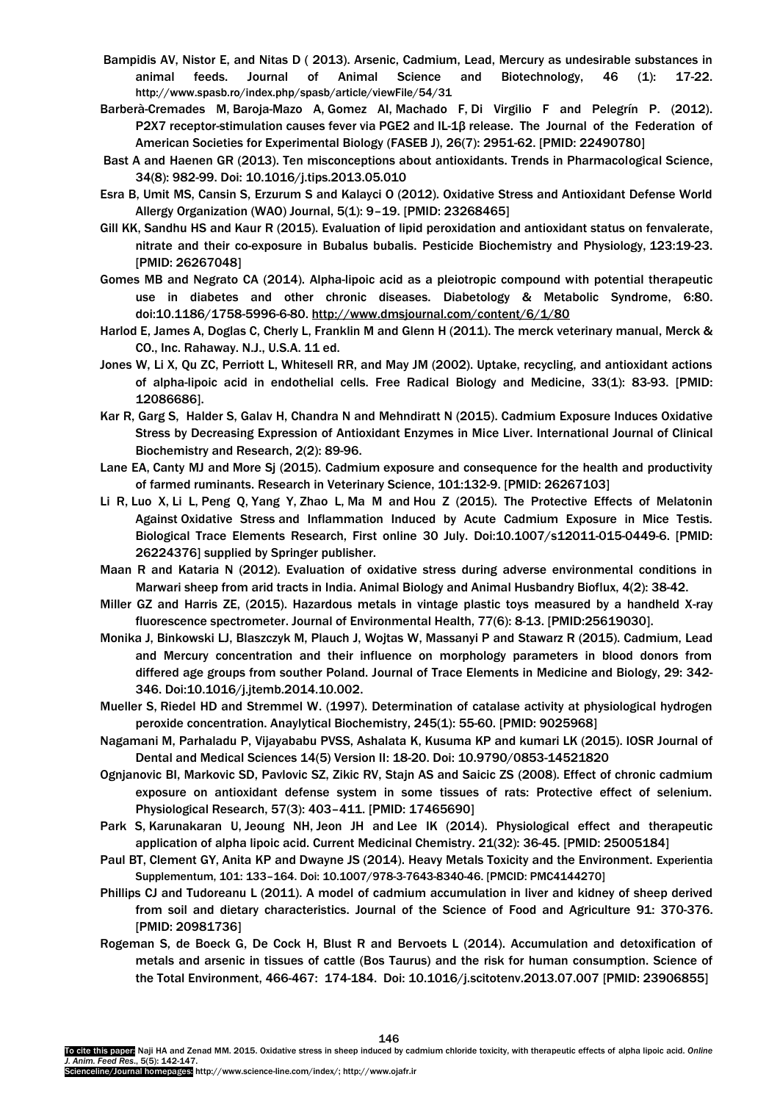- Bampidis AV, Nistor E, and Nitas D ( 2013). Arsenic, Cadmium, Lead, Mercury as undesirable substances in animal feeds. Journal of Animal Science and Biotechnology, 46 (1): 17-22. http://www.spasb.ro/index.php/spasb/article/viewFile/54/31
- Barberà-Cremades M, Baroja-Mazo A, Gomez AI, Machado F, Di Virgilio F and Pelegrín P. (2012). P2X7 receptor-stimulation causes fever via PGE2 and IL-1β release. The Journal of the Federation of American Societies for Experimental Biology (FASEB J), 26(7): 2951-62. [PMID: 22490780]
- Bast A and Haenen GR (2013). Ten misconceptions about antioxidants. Trends in Pharmacological Science, 34(8): 982-99. Doi: 10.1016/j.tips.2013.05.010
- Esra B, Umit MS, Cansin S, Erzurum S and Kalayci O (2012). Oxidative Stress and Antioxidant Defense World Allergy Organization (WAO) Journal, 5(1): 9–19. [PMID: 23268465]
- Gill KK, Sandhu HS and Kaur R (2015). Evaluation of lipid peroxidation and antioxidant status on fenvalerate, nitrate and their co-exposure in Bubalus bubalis. Pesticide Biochemistry and Physiology, 123:19-23. [PMID: 26267048]
- Gomes MB and Negrato CA (2014). Alpha-lipoic acid as a pleiotropic compound with potential therapeutic use in diabetes and other chronic diseases. Diabetology & Metabolic Syndrome, 6:80. doi:10.1186/1758-5996-6-80. <http://www.dmsjournal.com/content/6/1/80>
- Harlod E, James A, Doglas C, Cherly L, Franklin M and Glenn H (2011). The merck veterinary manual, Merck & CO., Inc. Rahaway. N.J., U.S.A. 11 ed.
- Jones W, Li X, Qu ZC, Perriott L, Whitesell RR, and May JM (2002). Uptake, recycling, and antioxidant actions of alpha-lipoic acid in endothelial cells. Free Radical Biology and Medicine, 33(1): 83-93. [PMID: 12086686].
- Kar R, Garg S, Halder S, Galav H, Chandra N and Mehndiratt N (2015). Cadmium Exposure Induces Oxidative Stress by Decreasing Expression of Antioxidant Enzymes in Mice Liver. International Journal of Clinical Biochemistry and Research, 2(2): 89-96.
- Lane EA, Canty MJ and More Sj (2015). Cadmium exposure and consequence for the health and productivity of farmed ruminants. Research in Veterinary Science, 101:132-9. [PMID: 26267103]
- Li R, Luo X, Li L, Peng Q, Yang Y, Zhao L, Ma M and Hou Z (2015). The Protective Effects of Melatonin Against Oxidative Stress and Inflammation Induced by Acute Cadmium Exposure in Mice Testis. Biological Trace Elements Research, First online 30 July. Doi:10.1007/s12011-015-0449-6. [PMID: 26224376] supplied by Springer publisher.
- Maan R and Kataria N (2012). Evaluation of oxidative stress during adverse environmental conditions in Marwari sheep from arid tracts in India. Animal Biology and Animal Husbandry Bioflux, 4(2): 38-42.
- Miller GZ and Harris ZE, (2015). Hazardous metals in vintage plastic toys measured by a handheld X-ray fluorescence spectrometer. Journal of Environmental Health, 77(6): 8-13. [PMID:25619030].
- Monika J, Binkowski LJ, Blaszczyk M, Plauch J, Wojtas W, Massanyi P and Stawarz R (2015). Cadmium, Lead and Mercury concentration and their influence on morphology parameters in blood donors from differed age groups from souther Poland. Journal of Trace Elements in Medicine and Biology, 29: 342- 346. Doi:10.1016/j.jtemb.2014.10.002.
- Mueller S, Riedel HD and Stremmel W. (1997). Determination of catalase activity at physiological hydrogen peroxide concentration. Anaylytical Biochemistry, 245(1): 55-60. [PMID: 9025968]
- Nagamani M, Parhaladu P, Vijayababu PVSS, Ashalata K, Kusuma KP and kumari LK (2015). IOSR Journal of Dental and Medical Sciences 14(5) Version II: 18-20. Doi: 10.9790/0853-14521820
- Ognjanovic BI, Markovic SD, Pavlovic SZ, Zikic RV, Stajn AS and Saicic ZS (2008). Effect of chronic cadmium exposure on antioxidant defense system in some tissues of rats: Protective effect of selenium. Physiological Research, 57(3): 403–411. [PMID: 17465690]
- [Park S,](http://www.ncbi.nlm.nih.gov/pubmed/?term=Park%20S%5BAuthor%5D&cauthor=true&cauthor_uid=25005184) [Karunakaran U,](http://www.ncbi.nlm.nih.gov/pubmed/?term=Karunakaran%20U%5BAuthor%5D&cauthor=true&cauthor_uid=25005184) [Jeoung NH,](http://www.ncbi.nlm.nih.gov/pubmed/?term=Jeoung%20NH%5BAuthor%5D&cauthor=true&cauthor_uid=25005184) [Jeon JH](http://www.ncbi.nlm.nih.gov/pubmed/?term=Jeon%20JH%5BAuthor%5D&cauthor=true&cauthor_uid=25005184) and [Lee IK](http://www.ncbi.nlm.nih.gov/pubmed/?term=Lee%20IK%5BAuthor%5D&cauthor=true&cauthor_uid=25005184) (2014). Physiological effect and therapeutic application of alpha lipoic acid. Current Medicinal [Chemistry.](http://www.ncbi.nlm.nih.gov/pubmed/25005184) 21(32): 36-45. [PMID: 25005184]
- Paul BT, Clement GY, Anita KP and Dwayne JS (2014). Heavy Metals Toxicity and the Environment. [Experientia](http://www.ncbi.nlm.nih.gov/entrez/eutils/elink.fcgi?dbfrom=pubmed&retmode=ref&cmd=prlinks&id=22945569) [Supplementum,](http://www.ncbi.nlm.nih.gov/entrez/eutils/elink.fcgi?dbfrom=pubmed&retmode=ref&cmd=prlinks&id=22945569) 101: 133–164. Doi: [10.1007/978-3-7643-8340-46.](http://dx.doi.org/10.1007%2F978-3-7643-8340-4_6) [PMCID: PMC4144270]
- Phillips CJ and Tudoreanu L (2011). A model of cadmium accumulation in liver and kidney of sheep derived from soil and dietary characteristics. Journal of the Science of Food and Agriculture 91: 370-376. [PMID: 20981736]
- Rogeman S, de Boeck G, De Cock H, Blust R and Bervoets L (2014). Accumulation and detoxification of metals and arsenic in tissues of cattle (Bos Taurus) and the risk for human consumption. Science of the Total Environment, 466-467: 174-184. Doi: 10.1016/j.scitotenv.2013.07.007 [PMID: 23906855]